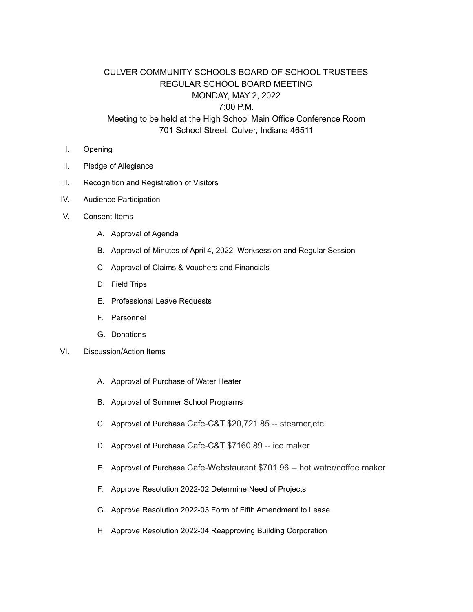## CULVER COMMUNITY SCHOOLS BOARD OF SCHOOL TRUSTEES REGULAR SCHOOL BOARD MEETING MONDAY, MAY 2, 2022 7:00 P.M.

## Meeting to be held at the High School Main Office Conference Room 701 School Street, Culver, Indiana 46511

- I. Opening
- II. Pledge of Allegiance
- III. Recognition and Registration of Visitors
- IV. Audience Participation
- V. Consent Items
	- A. Approval of Agenda
	- B. Approval of Minutes of April 4, 2022 Worksession and Regular Session
	- C. Approval of Claims & Vouchers and Financials
	- D. Field Trips
	- E. Professional Leave Requests
	- F. Personnel
	- G. Donations
- VI. Discussion/Action Items
	- A. Approval of Purchase of Water Heater
	- B. Approval of Summer School Programs
	- C. Approval of Purchase Cafe-C&T \$20,721.85 -- steamer,etc.
	- D. Approval of Purchase Cafe-C&T \$7160.89 -- ice maker
	- E. Approval of Purchase Cafe-Webstaurant \$701.96 -- hot water/coffee maker
	- F. Approve Resolution 2022-02 Determine Need of Projects
	- G. Approve Resolution 2022-03 Form of Fifth Amendment to Lease
	- H. Approve Resolution 2022-04 Reapproving Building Corporation